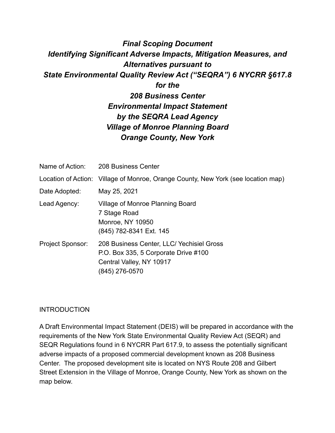# *Final Scoping Document Identifying Significant Adverse Impacts, Mitigation Measures, and Alternatives pursuant to State Environmental Quality Review Act ("SEQRA") 6 NYCRR §617.8 for the*

*208 Business Center Environmental Impact Statement by the SEQRA Lead Agency Village of Monroe Planning Board Orange County, New York* 

|                         | Name of Action: 208 Business Center                                                                                             |
|-------------------------|---------------------------------------------------------------------------------------------------------------------------------|
|                         | Location of Action: Village of Monroe, Orange County, New York (see location map)                                               |
| Date Adopted:           | May 25, 2021                                                                                                                    |
| Lead Agency:            | Village of Monroe Planning Board<br>7 Stage Road<br><b>Monroe, NY 10950</b><br>(845) 782-8341 Ext. 145                          |
| <b>Project Sponsor:</b> | 208 Business Center, LLC/ Yechisiel Gross<br>P.O. Box 335, 5 Corporate Drive #100<br>Central Valley, NY 10917<br>(845) 276-0570 |

# **INTRODUCTION**

A Draft Environmental Impact Statement (DEIS) will be prepared in accordance with the requirements of the New York State Environmental Quality Review Act (SEQR) and SEQR Regulations found in 6 NYCRR Part 617.9, to assess the potentially significant adverse impacts of a proposed commercial development known as 208 Business Center. The proposed development site is located on NYS Route 208 and Gilbert Street Extension in the Village of Monroe, Orange County, New York as shown on the map below.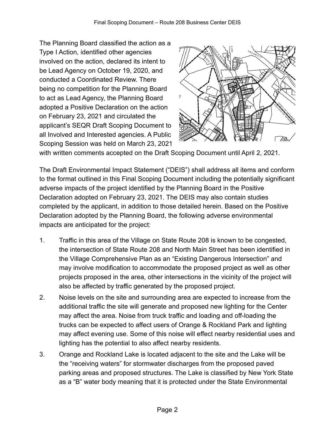The Planning Board classified the action as a Type I Action, identified other agencies involved on the action, declared its intent to be Lead Agency on October 19, 2020, and conducted a Coordinated Review. There being no competition for the Planning Board to act as Lead Agency, the Planning Board adopted a Positive Declaration on the action on February 23, 2021 and circulated the applicant's SEQR Draft Scoping Document to all Involved and Interested agencies. A Public Scoping Session was held on March 23, 2021



with written comments accepted on the Draft Scoping Document until April 2, 2021.

The Draft Environmental Impact Statement ("DEIS") shall address all items and conform to the format outlined in this Final Scoping Document including the potentially significant adverse impacts of the project identified by the Planning Board in the Positive Declaration adopted on February 23, 2021. The DEIS may also contain studies completed by the applicant, in addition to those detailed herein. Based on the Positive Declaration adopted by the Planning Board, the following adverse environmental impacts are anticipated for the project:

- 1. Traffic in this area of the Village on State Route 208 is known to be congested, the intersection of State Route 208 and North Main Street has been identified in the Village Comprehensive Plan as an "Existing Dangerous Intersection" and may involve modification to accommodate the proposed project as well as other projects proposed in the area, other intersections in the vicinity of the project will also be affected by traffic generated by the proposed project.
- 2. Noise levels on the site and surrounding area are expected to increase from the additional traffic the site will generate and proposed new lighting for the Center may affect the area. Noise from truck traffic and loading and off-loading the trucks can be expected to affect users of Orange & Rockland Park and lighting may affect evening use. Some of this noise will effect nearby residential uses and lighting has the potential to also affect nearby residents.
- 3. Orange and Rockland Lake is located adjacent to the site and the Lake will be the "receiving waters" for stormwater discharges from the proposed paved parking areas and proposed structures. The Lake is classified by New York State as a "B" water body meaning that it is protected under the State Environmental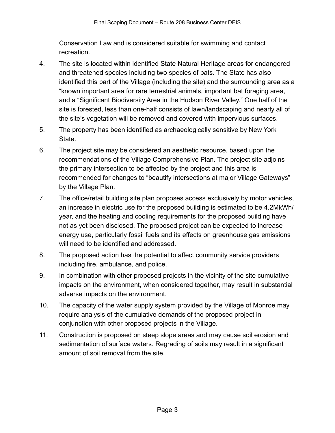Conservation Law and is considered suitable for swimming and contact recreation.

- 4. The site is located within identified State Natural Heritage areas for endangered and threatened species including two species of bats. The State has also identified this part of the Village (including the site) and the surrounding area as a "known important area for rare terrestrial animals, important bat foraging area, and a "Significant Biodiversity Area in the Hudson River Valley." One half of the site is forested, less than one-half consists of lawn/landscaping and nearly all of the site's vegetation will be removed and covered with impervious surfaces.
- 5. The property has been identified as archaeologically sensitive by New York State.
- 6. The project site may be considered an aesthetic resource, based upon the recommendations of the Village Comprehensive Plan. The project site adjoins the primary intersection to be affected by the project and this area is recommended for changes to "beautify intersections at major Village Gateways" by the Village Plan.
- 7. The office/retail building site plan proposes access exclusively by motor vehicles, an increase in electric use for the proposed building is estimated to be 4.2MkWh/ year, and the heating and cooling requirements for the proposed building have not as yet been disclosed. The proposed project can be expected to increase energy use, particularly fossil fuels and its effects on greenhouse gas emissions will need to be identified and addressed.
- 8. The proposed action has the potential to affect community service providers including fire, ambulance, and police.
- 9. In combination with other proposed projects in the vicinity of the site cumulative impacts on the environment, when considered together, may result in substantial adverse impacts on the environment.
- 10. The capacity of the water supply system provided by the Village of Monroe may require analysis of the cumulative demands of the proposed project in conjunction with other proposed projects in the Village.
- 11. Construction is proposed on steep slope areas and may cause soil erosion and sedimentation of surface waters. Regrading of soils may result in a significant amount of soil removal from the site.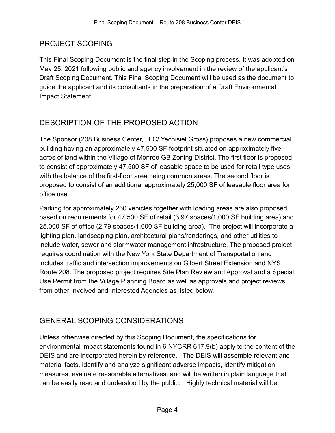# PROJECT SCOPING

This Final Scoping Document is the final step in the Scoping process. It was adopted on May 25, 2021 following public and agency involvement in the review of the applicant's Draft Scoping Document. This Final Scoping Document will be used as the document to guide the applicant and its consultants in the preparation of a Draft Environmental Impact Statement.

# DESCRIPTION OF THE PROPOSED ACTION

The Sponsor (208 Business Center, LLC/ Yechisiel Gross) proposes a new commercial building having an approximately 47,500 SF footprint situated on approximately five acres of land within the Village of Monroe GB Zoning District. The first floor is proposed to consist of approximately 47,500 SF of leasable space to be used for retail type uses with the balance of the first-floor area being common areas. The second floor is proposed to consist of an additional approximately 25,000 SF of leasable floor area for office use.

Parking for approximately 260 vehicles together with loading areas are also proposed based on requirements for 47,500 SF of retail (3.97 spaces/1,000 SF building area) and 25,000 SF of office (2.79 spaces/1,000 SF building area). The project will incorporate a lighting plan, landscaping plan, architectural plans/renderings, and other utilities to include water, sewer and stormwater management infrastructure. The proposed project requires coordination with the New York State Department of Transportation and includes traffic and intersection improvements on Gilbert Street Extension and NYS Route 208. The proposed project requires Site Plan Review and Approval and a Special Use Permit from the Village Planning Board as well as approvals and project reviews from other Involved and Interested Agencies as listed below.

# GENERAL SCOPING CONSIDERATIONS

Unless otherwise directed by this Scoping Document, the specifications for environmental impact statements found in 6 NYCRR 617.9(b) apply to the content of the DEIS and are incorporated herein by reference. The DEIS will assemble relevant and material facts, identify and analyze significant adverse impacts, identify mitigation measures, evaluate reasonable alternatives, and will be written in plain language that can be easily read and understood by the public. Highly technical material will be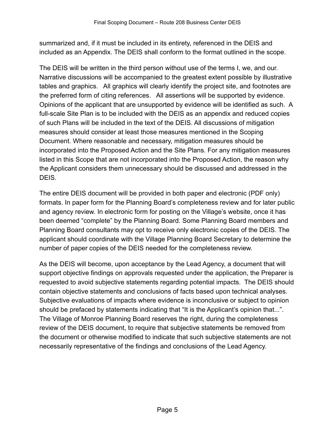summarized and, if it must be included in its entirety, referenced in the DEIS and included as an Appendix. The DEIS shall conform to the format outlined in the scope.

The DEIS will be written in the third person without use of the terms I, we, and our. Narrative discussions will be accompanied to the greatest extent possible by illustrative tables and graphics. All graphics will clearly identify the project site, and footnotes are the preferred form of citing references. All assertions will be supported by evidence. Opinions of the applicant that are unsupported by evidence will be identified as such. A full-scale Site Plan is to be included with the DEIS as an appendix and reduced copies of such Plans will be included in the text of the DEIS. All discussions of mitigation measures should consider at least those measures mentioned in the Scoping Document. Where reasonable and necessary, mitigation measures should be incorporated into the Proposed Action and the Site Plans. For any mitigation measures listed in this Scope that are not incorporated into the Proposed Action, the reason why the Applicant considers them unnecessary should be discussed and addressed in the DEIS.

The entire DEIS document will be provided in both paper and electronic (PDF only) formats. In paper form for the Planning Board's completeness review and for later public and agency review. In electronic form for posting on the Village's website, once it has been deemed "complete" by the Planning Board. Some Planning Board members and Planning Board consultants may opt to receive only electronic copies of the DEIS. The applicant should coordinate with the Village Planning Board Secretary to determine the number of paper copies of the DEIS needed for the completeness review.

As the DEIS will become, upon acceptance by the Lead Agency, a document that will support objective findings on approvals requested under the application, the Preparer is requested to avoid subjective statements regarding potential impacts. The DEIS should contain objective statements and conclusions of facts based upon technical analyses. Subjective evaluations of impacts where evidence is inconclusive or subject to opinion should be prefaced by statements indicating that "It is the Applicant's opinion that...". The Village of Monroe Planning Board reserves the right, during the completeness review of the DEIS document, to require that subjective statements be removed from the document or otherwise modified to indicate that such subjective statements are not necessarily representative of the findings and conclusions of the Lead Agency.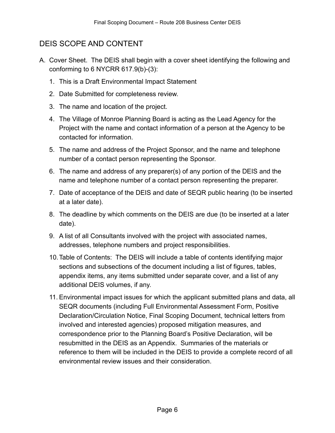# DEIS SCOPE AND CONTENT

- A. Cover Sheet. The DEIS shall begin with a cover sheet identifying the following and conforming to 6 NYCRR 617.9(b)-(3):
	- 1. This is a Draft Environmental Impact Statement
	- 2. Date Submitted for completeness review.
	- 3. The name and location of the project.
	- 4. The Village of Monroe Planning Board is acting as the Lead Agency for the Project with the name and contact information of a person at the Agency to be contacted for information.
	- 5. The name and address of the Project Sponsor, and the name and telephone number of a contact person representing the Sponsor.
	- 6. The name and address of any preparer(s) of any portion of the DEIS and the name and telephone number of a contact person representing the preparer.
	- 7. Date of acceptance of the DEIS and date of SEQR public hearing (to be inserted at a later date).
	- 8. The deadline by which comments on the DEIS are due (to be inserted at a later date).
	- 9. A list of all Consultants involved with the project with associated names, addresses, telephone numbers and project responsibilities.
	- 10.Table of Contents: The DEIS will include a table of contents identifying major sections and subsections of the document including a list of figures, tables, appendix items, any items submitted under separate cover, and a list of any additional DEIS volumes, if any.
	- 11. Environmental impact issues for which the applicant submitted plans and data, all SEQR documents (including Full Environmental Assessment Form, Positive Declaration/Circulation Notice, Final Scoping Document, technical letters from involved and interested agencies) proposed mitigation measures, and correspondence prior to the Planning Board's Positive Declaration, will be resubmitted in the DEIS as an Appendix. Summaries of the materials or reference to them will be included in the DEIS to provide a complete record of all environmental review issues and their consideration.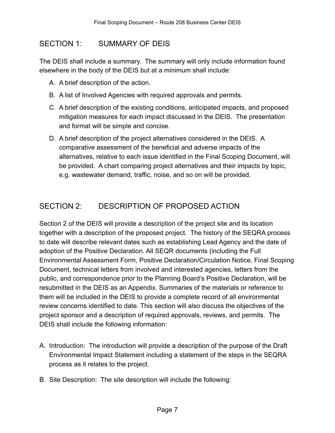# SECTION 1: SUMMARY OF DEIS

The DEIS shall include a summary. The summary will only include information found elsewhere in the body of the DEIS but at a minimum shall include:

- A. A brief description of the action.
- B. A list of Involved Agencies with required approvals and permits.
- C. A brief description of the existing conditions, anticipated impacts, and proposed mitigation measures for each impact discussed in the DEIS. The presentation and format will be simple and concise.
- D. A brief description of the project alternatives considered in the DEIS. A comparative assessment of the beneficial and adverse impacts of the alternatives, relative to each issue identified in the Final Scoping Document, will be provided. A chart comparing project alternatives and their impacts by topic, e.g. wastewater demand, traffic, noise, and so on will be provided.

# SECTION 2: DESCRIPTION OF PROPOSED ACTION

Section 2 of the DEIS will provide a description of the project site and its location together with a description of the proposed project. The history of the SEQRA process to date will describe relevant dates such as establishing Lead Agency and the date of adoption of the Positive Declaration. All SEQR documents (including the Full Environmental Assessment Form, Positive Declaration/Circulation Notice, Final Scoping Document, technical letters from involved and interested agencies, letters from the public, and correspondence prior to the Planning Board's Positive Declaration, will be resubmitted in the DEIS as an Appendix. Summaries of the materials or reference to them will be included in the DEIS to provide a complete record of all environmental review concerns identified to date. This section will also discuss the objectives of the project sponsor and a description of required approvals, reviews, and permits. The DEIS shall include the following information:

- A. Introduction: The introduction will provide a description of the purpose of the Draft Environmental Impact Statement including a statement of the steps in the SEQRA process as it relates to the project.
- B. Site Description: The site description will include the following: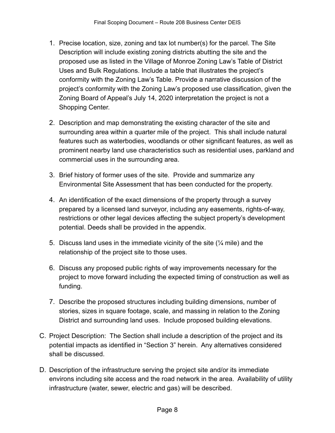- 1. Precise location, size, zoning and tax lot number(s) for the parcel. The Site Description will include existing zoning districts abutting the site and the proposed use as listed in the Village of Monroe Zoning Law's Table of District Uses and Bulk Regulations. Include a table that illustrates the project's conformity with the Zoning Law's Table. Provide a narrative discussion of the project's conformity with the Zoning Law's proposed use classification, given the Zoning Board of Appeal's July 14, 2020 interpretation the project is not a Shopping Center.
- 2. Description and map demonstrating the existing character of the site and surrounding area within a quarter mile of the project. This shall include natural features such as waterbodies, woodlands or other significant features, as well as prominent nearby land use characteristics such as residential uses, parkland and commercial uses in the surrounding area.
- 3. Brief history of former uses of the site. Provide and summarize any Environmental Site Assessment that has been conducted for the property.
- 4. An identification of the exact dimensions of the property through a survey prepared by a licensed land surveyor, including any easements, rights-of-way, restrictions or other legal devices affecting the subject property's development potential. Deeds shall be provided in the appendix.
- 5. Discuss land uses in the immediate vicinity of the site (¼ mile) and the relationship of the project site to those uses.
- 6. Discuss any proposed public rights of way improvements necessary for the project to move forward including the expected timing of construction as well as funding.
- 7. Describe the proposed structures including building dimensions, number of stories, sizes in square footage, scale, and massing in relation to the Zoning District and surrounding land uses. Include proposed building elevations.
- C. Project Description: The Section shall include a description of the project and its potential impacts as identified in "Section 3" herein. Any alternatives considered shall be discussed.
- D. Description of the infrastructure serving the project site and/or its immediate environs including site access and the road network in the area. Availability of utility infrastructure (water, sewer, electric and gas) will be described.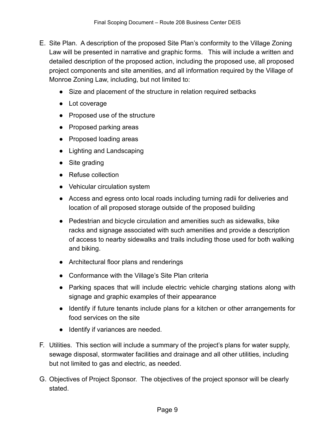- E. Site Plan. A description of the proposed Site Plan's conformity to the Village Zoning Law will be presented in narrative and graphic forms. This will include a written and detailed description of the proposed action, including the proposed use, all proposed project components and site amenities, and all information required by the Village of Monroe Zoning Law, including, but not limited to:
	- Size and placement of the structure in relation required setbacks
	- Lot coverage
	- Proposed use of the structure
	- Proposed parking areas
	- Proposed loading areas
	- Lighting and Landscaping
	- Site grading
	- Refuse collection
	- Vehicular circulation system
	- Access and egress onto local roads including turning radii for deliveries and location of all proposed storage outside of the proposed building
	- Pedestrian and bicycle circulation and amenities such as sidewalks, bike racks and signage associated with such amenities and provide a description of access to nearby sidewalks and trails including those used for both walking and biking.
	- Architectural floor plans and renderings
	- Conformance with the Village's Site Plan criteria
	- Parking spaces that will include electric vehicle charging stations along with signage and graphic examples of their appearance
	- Identify if future tenants include plans for a kitchen or other arrangements for food services on the site
	- Identify if variances are needed.
- F. Utilities. This section will include a summary of the project's plans for water supply, sewage disposal, stormwater facilities and drainage and all other utilities, including but not limited to gas and electric, as needed.
- G. Objectives of Project Sponsor. The objectives of the project sponsor will be clearly stated.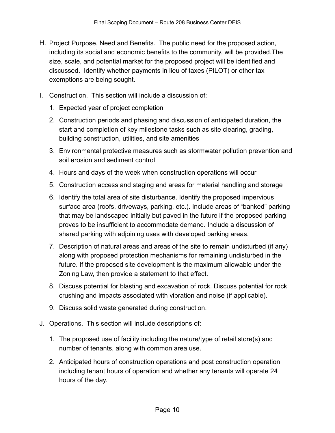- H. Project Purpose, Need and Benefits. The public need for the proposed action, including its social and economic benefits to the community, will be provided.The size, scale, and potential market for the proposed project will be identified and discussed. Identify whether payments in lieu of taxes (PILOT) or other tax exemptions are being sought.
- I. Construction. This section will include a discussion of:
	- 1. Expected year of project completion
	- 2. Construction periods and phasing and discussion of anticipated duration, the start and completion of key milestone tasks such as site clearing, grading, building construction, utilities, and site amenities
	- 3. Environmental protective measures such as stormwater pollution prevention and soil erosion and sediment control
	- 4. Hours and days of the week when construction operations will occur
	- 5. Construction access and staging and areas for material handling and storage
	- 6. Identify the total area of site disturbance. Identify the proposed impervious surface area (roofs, driveways, parking, etc.). Include areas of "banked" parking that may be landscaped initially but paved in the future if the proposed parking proves to be insufficient to accommodate demand. Include a discussion of shared parking with adjoining uses with developed parking areas.
	- 7. Description of natural areas and areas of the site to remain undisturbed (if any) along with proposed protection mechanisms for remaining undisturbed in the future. If the proposed site development is the maximum allowable under the Zoning Law, then provide a statement to that effect.
	- 8. Discuss potential for blasting and excavation of rock. Discuss potential for rock crushing and impacts associated with vibration and noise (if applicable).
	- 9. Discuss solid waste generated during construction.
- J. Operations. This section will include descriptions of:
	- 1. The proposed use of facility including the nature/type of retail store(s) and number of tenants, along with common area use.
	- 2. Anticipated hours of construction operations and post construction operation including tenant hours of operation and whether any tenants will operate 24 hours of the day.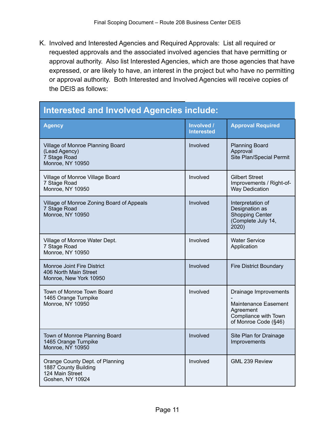K. Involved and Interested Agencies and Required Approvals: List all required or requested approvals and the associated involved agencies that have permitting or approval authority. Also list Interested Agencies, which are those agencies that have expressed, or are likely to have, an interest in the project but who have no permitting or approval authority. Both Interested and Involved Agencies will receive copies of the DEIS as follows:

#### **Interested and Involved Agencies include: Agency Involved / Interested Approval Required** Village of Monroe Planning Board (Lead Agency) 7 Stage Road Monroe, NY 10950 Involved Planning Board Approval Site Plan/Special Permit Village of Monroe Village Board 7 Stage Road Monroe, NY 10950 Involved Gilbert Street Improvements / Right-of-Way Dedication Village of Monroe Zoning Board of Appeals 7 Stage Road Monroe, NY 10950 Involved Interpretation of Designation as Shopping Center (Complete July 14, 2020) Village of Monroe Water Dept. 7 Stage Road Monroe, NY 10950 Involved Water Service Application Monroe Joint Fire District 406 North Main Street Monroe, New York 10950 Involved Fire District Boundary Town of Monroe Town Board 1465 Orange Turnpike Monroe, NY 10950 Involved Drainage Improvements - Maintenance Easement Agreement Compliance with Town of Monroe Code (§46) Town of Monroe Planning Board 1465 Orange Turnpike Monroe, NY 10950 Involved Site Plan for Drainage **Improvements** Orange County Dept. of Planning 1887 County Building 124 Main Street Goshen, NY 10924 Involved GML 239 Review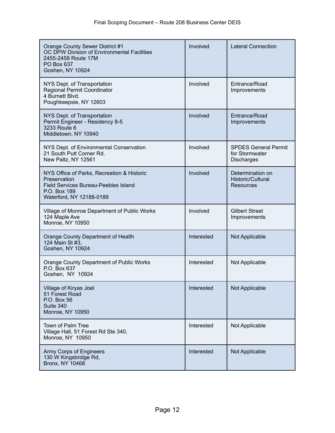| Orange County Sewer District #1<br>OC DPW Division of Environmental Facilities<br>2455-2459 Route 17M<br>PO Box 637<br>Goshen, NY 10924               | Involved   | <b>Lateral Connection</b>                                          |
|-------------------------------------------------------------------------------------------------------------------------------------------------------|------------|--------------------------------------------------------------------|
| NYS Dept. of Transportation<br>Regional Permit Coordinator<br>4 Burnett Blvd.<br>Poughkeepsie, NY 12603                                               | Involved   | Entrance/Road<br>Improvements                                      |
| NYS Dept. of Transportation<br>Permit Engineer - Residency 8-5<br>3233 Route 6<br>Middletown, NY 10940                                                | Involved   | Entrance/Road<br>Improvements                                      |
| NYS Dept. of Environmental Conservation<br>21 South Putt Corner Rd.<br>New Paltz, NY 12561                                                            | Involved   | <b>SPDES General Permit</b><br>for Stormwater<br><b>Discharges</b> |
| NYS Office of Parks, Recreation & Historic<br>Preservation<br><b>Field Services Bureau-Peebles Island</b><br>P.O. Box 189<br>Waterford, NY 12188-0189 | Involved   | Determination on<br>Historic/Cultural<br><b>Resources</b>          |
| Village of Monroe Department of Public Works<br>124 Maple Ave<br>Monroe, NY 10950                                                                     | Involved   | <b>Gilbert Street</b><br>Improvements                              |
| Orange County Department of Health<br>124 Main St #3,<br>Goshen, NY 10924                                                                             | Interested | Not Applicable                                                     |
| Orange County Department of Public Works<br>P.O. Box 637<br>Goshen, NY 10924                                                                          | Interested | Not Applicable                                                     |
| Village of Kiryas Joel<br>51 Forest Road<br>P.O. Box 56<br>Suite 340<br>Monroe, NY 10950                                                              | Interested | Not Applicable                                                     |
| Town of Palm Tree<br>Village Hall, 51 Forest Rd Ste 340,<br>Monroe, NY 10950                                                                          | Interested | Not Applicable                                                     |
| Army Corps of Engineers<br>130 W Kingsbridge Rd,<br><b>Bronx, NY 10468</b>                                                                            | Interested | Not Applicable                                                     |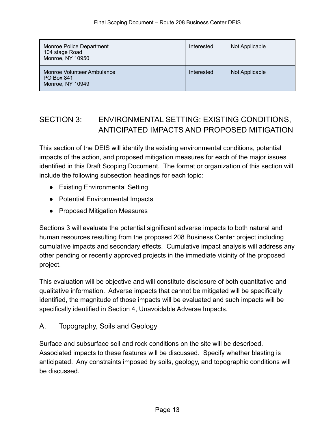| Monroe Police Department<br>104 stage Road<br>Monroe, NY 10950 | Interested | Not Applicable |
|----------------------------------------------------------------|------------|----------------|
| Monroe Volunteer Ambulance<br>PO Box 841<br>Monroe, NY 10949   | Interested | Not Applicable |

# SECTION 3: ENVIRONMENTAL SETTING: EXISTING CONDITIONS, ANTICIPATED IMPACTS AND PROPOSED MITIGATION

This section of the DEIS will identify the existing environmental conditions, potential impacts of the action, and proposed mitigation measures for each of the major issues identified in this Draft Scoping Document. The format or organization of this section will include the following subsection headings for each topic:

- Existing Environmental Setting
- Potential Environmental Impacts
- Proposed Mitigation Measures

Sections 3 will evaluate the potential significant adverse impacts to both natural and human resources resulting from the proposed 208 Business Center project including cumulative impacts and secondary effects. Cumulative impact analysis will address any other pending or recently approved projects in the immediate vicinity of the proposed project.

This evaluation will be objective and will constitute disclosure of both quantitative and qualitative information. Adverse impacts that cannot be mitigated will be specifically identified, the magnitude of those impacts will be evaluated and such impacts will be specifically identified in Section 4, Unavoidable Adverse Impacts.

A. Topography, Soils and Geology

Surface and subsurface soil and rock conditions on the site will be described. Associated impacts to these features will be discussed. Specify whether blasting is anticipated. Any constraints imposed by soils, geology, and topographic conditions will be discussed.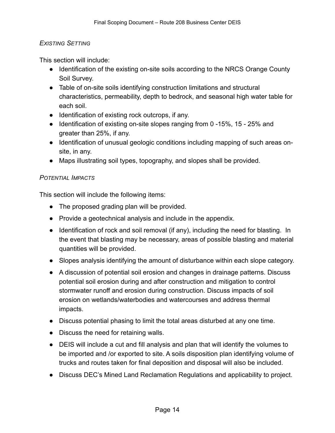# *EXISTING SETTING*

This section will include:

- Identification of the existing on-site soils according to the NRCS Orange County Soil Survey.
- Table of on-site soils identifying construction limitations and structural characteristics, permeability, depth to bedrock, and seasonal high water table for each soil.
- Identification of existing rock outcrops, if any.
- Identification of existing on-site slopes ranging from 0 -15%, 15 25% and greater than 25%, if any.
- Identification of unusual geologic conditions including mapping of such areas onsite, in any.
- Maps illustrating soil types, topography, and slopes shall be provided.

# *POTENTIAL IMPACTS*

This section will include the following items:

- The proposed grading plan will be provided.
- Provide a geotechnical analysis and include in the appendix.
- Identification of rock and soil removal (if any), including the need for blasting. In the event that blasting may be necessary, areas of possible blasting and material quantities will be provided.
- Slopes analysis identifying the amount of disturbance within each slope category.
- A discussion of potential soil erosion and changes in drainage patterns. Discuss potential soil erosion during and after construction and mitigation to control stormwater runoff and erosion during construction. Discuss impacts of soil erosion on wetlands/waterbodies and watercourses and address thermal impacts.
- Discuss potential phasing to limit the total areas disturbed at any one time.
- Discuss the need for retaining walls.
- DEIS will include a cut and fill analysis and plan that will identify the volumes to be imported and /or exported to site. A soils disposition plan identifying volume of trucks and routes taken for final deposition and disposal will also be included.
- Discuss DEC's Mined Land Reclamation Regulations and applicability to project.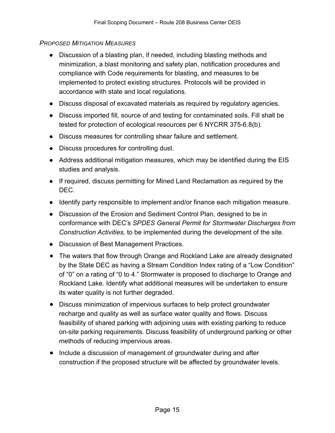# *PROPOSED MITIGATION MEASURES*

- Discussion of a blasting plan, if needed, including blasting methods and minimization, a blast monitoring and safety plan, notification procedures and compliance with Code requirements for blasting, and measures to be implemented to protect existing structures. Protocols will be provided in accordance with state and local regulations.
- Discuss disposal of excavated materials as required by regulatory agencies.
- Discuss imported fill, source of and testing for contaminated soils. Fill shall be tested for protection of ecological resources per 6 NYCRR 375-6.8(b).
- Discuss measures for controlling shear failure and settlement.
- Discuss procedures for controlling dust.
- Address additional mitigation measures, which may be identified during the EIS studies and analysis.
- If required, discuss permitting for Mined Land Reclamation as required by the DEC.
- Identify party responsible to implement and/or finance each mitigation measure.
- Discussion of the Erosion and Sediment Control Plan, designed to be in conformance with DEC's *SPDES General Permit for Stormwater Discharges from Construction Activities,* to be implemented during the development of the site.
- Discussion of Best Management Practices.
- The waters that flow through Orange and Rockland Lake are already designated by the State DEC as having a Stream Condition Index rating of a "Low Condition" of "0" on a rating of "0 to 4." Stormwater is proposed to discharge to Orange and Rockland Lake. Identify what additional measures will be undertaken to ensure its water quality is not further degraded.
- Discuss minimization of impervious surfaces to help protect groundwater recharge and quality as well as surface water quality and flows. Discuss feasibility of shared parking with adjoining uses with existing parking to reduce on-site parking requirements. Discuss feasibility of underground parking or other methods of reducing impervious areas.
- Include a discussion of management of groundwater during and after construction if the proposed structure will be affected by groundwater levels.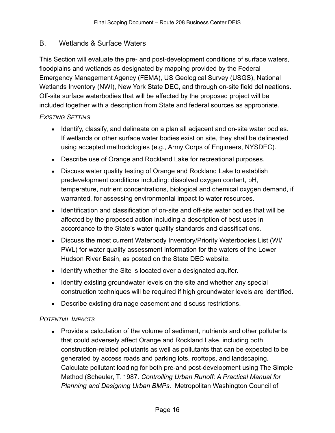# B. Wetlands & Surface Waters

This Section will evaluate the pre- and post-development conditions of surface waters, floodplains and wetlands as designated by mapping provided by the Federal Emergency Management Agency (FEMA), US Geological Survey (USGS), National Wetlands Inventory (NWI), New York State DEC, and through on-site field delineations. Off-site surface waterbodies that will be affected by the proposed project will be included together with a description from State and federal sources as appropriate.

# *EXISTING SETTING*

- **EXED** Identify, classify, and delineate on a plan all adjacent and on-site water bodies. If wetlands or other surface water bodies exist on site, they shall be delineated using accepted methodologies (e.g., Army Corps of Engineers, NYSDEC).
- Describe use of Orange and Rockland Lake for recreational purposes.
- **EXEDE SHIFF Discuss water quality testing of Orange and Rockland Lake to establish** predevelopment conditions including: dissolved oxygen content, pH, temperature, nutrient concentrations, biological and chemical oxygen demand, if warranted, for assessing environmental impact to water resources.
- **EXECT** Identification and classification of on-site and off-site water bodies that will be affected by the proposed action including a description of best uses in accordance to the State's water quality standards and classifications.
- Discuss the most current Waterbody Inventory/Priority Waterbodies List (WI/ PWL) for water quality assessment information for the waters of the Lower Hudson River Basin, as posted on the State DEC website.
- **EXECT** Identify whether the Site is located over a designated aquifer.
- **EXEDENT** Identify existing groundwater levels on the site and whether any special construction techniques will be required if high groundwater levels are identified.
- **Describe existing drainage easement and discuss restrictions.**

# *POTENTIAL IMPACTS*

■ Provide a calculation of the volume of sediment, nutrients and other pollutants that could adversely affect Orange and Rockland Lake, including both construction-related pollutants as well as pollutants that can be expected to be generated by access roads and parking lots, rooftops, and landscaping. Calculate pollutant loading for both pre-and post-development using The Simple Method (Scheuler, T. 1987. *Controlling Urban Runoff: A Practical Manual for Planning and Designing Urban BMPs*. Metropolitan Washington Council of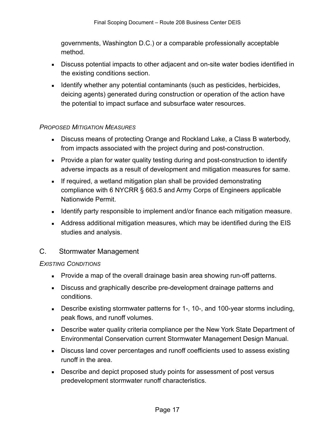governments, Washington D.C.) or a comparable professionally acceptable method.

- **EXECT** Discuss potential impacts to other adjacent and on-site water bodies identified in the existing conditions section.
- **EXECT** Identify whether any potential contaminants (such as pesticides, herbicides, deicing agents) generated during construction or operation of the action have the potential to impact surface and subsurface water resources.

# *PROPOSED MITIGATION MEASURES*

- **EXEDE SHOW DEADS IS SEX SHOW THE DISCUSS** Discuss means of protecting Orange and Rockland Lake, a Class B waterbody, from impacts associated with the project during and post-construction.
- Provide a plan for water quality testing during and post-construction to identify adverse impacts as a result of development and mitigation measures for same.
- **E** If required, a wetland mitigation plan shall be provided demonstrating compliance with 6 NYCRR § 663.5 and Army Corps of Engineers applicable Nationwide Permit.
- Identify party responsible to implement and/or finance each mitigation measure.
- Address additional mitigation measures, which may be identified during the EIS studies and analysis.

# C. Stormwater Management

# *EXISTING CONDITIONS*

- **Provide a map of the overall drainage basin area showing run-off patterns.**
- **EXEDE 25 ISS 2018 ISS 2018** Discuss and graphically describe pre-development drainage patterns and conditions.
- **EXEDENTIFY DESCRIPT DESCRIPT IS SEXT** Describe existing storms including, peak flows, and runoff volumes.
- **EXEDE STATE IS NOTE 2018 IN A 2018 The STATE IS SEX 10 FOR STATE IS SEX IS NOTE:** Department of Environmental Conservation current Stormwater Management Design Manual.
- Discuss land cover percentages and runoff coefficients used to assess existing runoff in the area.
- Describe and depict proposed study points for assessment of post versus predevelopment stormwater runoff characteristics.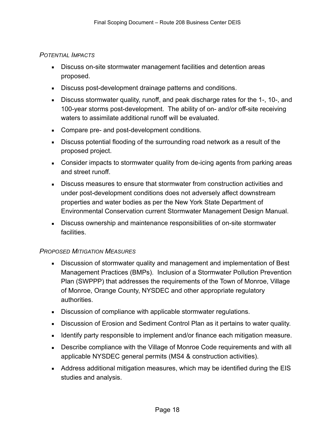#### *POTENTIAL IMPACTS*

- **EXEDE SHIFF DISCUSS ON-SITE STOREM IS 2018 THE STARK ISSUES:** Discuss on-site stormate reases proposed.
- **EXECUSE:** Discuss post-development drainage patterns and conditions.
- Discuss stormwater quality, runoff, and peak discharge rates for the 1-, 10-, and 100-year storms post-development. The ability of on- and/or off-site receiving waters to assimilate additional runoff will be evaluated.
- Compare pre- and post-development conditions.
- **EXE** Discuss potential flooding of the surrounding road network as a result of the proposed project.
- Consider impacts to stormwater quality from de-icing agents from parking areas and street runoff.
- **•** Discuss measures to ensure that stormwater from construction activities and under post-development conditions does not adversely affect downstream properties and water bodies as per the New York State Department of Environmental Conservation current Stormwater Management Design Manual.
- **EXEDENCISY DISCUSS OWNERSHIP And maintenance responsibilities of on-site stormwater** facilities.

# *PROPOSED MITIGATION MEASURES*

- **EXEDENSION DETEXA** Discussion of stormwater quality and management and implementation of Best Management Practices (BMPs). Inclusion of a Stormwater Pollution Prevention Plan (SWPPP) that addresses the requirements of the Town of Monroe, Village of Monroe, Orange County, NYSDEC and other appropriate regulatory authorities.
- **EXECUSSEE Discussion of compliance with applicable stormwater regulations.**
- **EXEDENT** Discussion of Erosion and Sediment Control Plan as it pertains to water quality.
- **EXED 1** Identify party responsible to implement and/or finance each mitigation measure.
- Describe compliance with the Village of Monroe Code requirements and with all applicable NYSDEC general permits (MS4 & construction activities).
- Address additional mitigation measures, which may be identified during the EIS studies and analysis.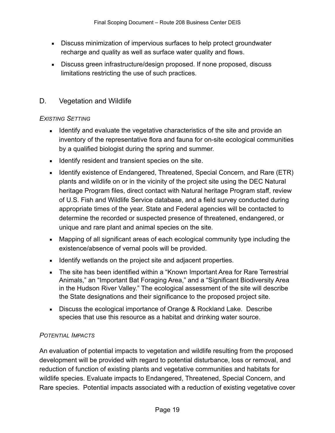- **EXEDE EXECUTE:** Discuss minimization of impervious surfaces to help protect groundwater recharge and quality as well as surface water quality and flows.
- Discuss green infrastructure/design proposed. If none proposed, discuss limitations restricting the use of such practices.

# D. Vegetation and Wildlife

# *EXISTING SETTING*

- **EXECT** Identify and evaluate the vegetative characteristics of the site and provide an inventory of the representative flora and fauna for on-site ecological communities by a qualified biologist during the spring and summer.
- **EXECUTE:** Identify resident and transient species on the site.
- **E** Identify existence of Endangered, Threatened, Special Concern, and Rare (ETR) plants and wildlife on or in the vicinity of the project site using the DEC Natural heritage Program files, direct contact with Natural heritage Program staff, review of U.S. Fish and Wildlife Service database, and a field survey conducted during appropriate times of the year. State and Federal agencies will be contacted to determine the recorded or suspected presence of threatened, endangered, or unique and rare plant and animal species on the site.
- Mapping of all significant areas of each ecological community type including the existence/absence of vernal pools will be provided.
- **EXECUTE:** Identify wetlands on the project site and adjacent properties.
- The site has been identified within a "Known Important Area for Rare Terrestrial Animals," an "Important Bat Foraging Area," and a "Significant Biodiversity Area in the Hudson River Valley." The ecological assessment of the site will describe the State designations and their significance to the proposed project site.
- Discuss the ecological importance of Orange & Rockland Lake. Describe species that use this resource as a habitat and drinking water source.

# *POTENTIAL IMPACTS*

An evaluation of potential impacts to vegetation and wildlife resulting from the proposed development will be provided with regard to potential disturbance, loss or removal, and reduction of function of existing plants and vegetative communities and habitats for wildlife species. Evaluate impacts to Endangered, Threatened, Special Concern, and Rare species. Potential impacts associated with a reduction of existing vegetative cover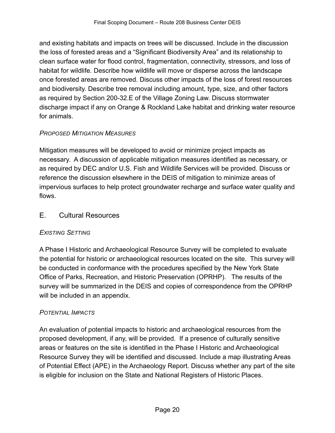and existing habitats and impacts on trees will be discussed. Include in the discussion the loss of forested areas and a "Significant Biodiversity Area" and its relationship to clean surface water for flood control, fragmentation, connectivity, stressors, and loss of habitat for wildlife. Describe how wildlife will move or disperse across the landscape once forested areas are removed. Discuss other impacts of the loss of forest resources and biodiversity. Describe tree removal including amount, type, size, and other factors as required by Section 200-32.E of the Village Zoning Law. Discuss stormwater discharge impact if any on Orange & Rockland Lake habitat and drinking water resource for animals.

# *PROPOSED MITIGATION MEASURES*

Mitigation measures will be developed to avoid or minimize project impacts as necessary. A discussion of applicable mitigation measures identified as necessary, or as required by DEC and/or U.S. Fish and Wildlife Services will be provided. Discuss or reference the discussion elsewhere in the DEIS of mitigation to minimize areas of impervious surfaces to help protect groundwater recharge and surface water quality and flows.

# E. Cultural Resources

# *EXISTING SETTING*

A Phase I Historic and Archaeological Resource Survey will be completed to evaluate the potential for historic or archaeological resources located on the site. This survey will be conducted in conformance with the procedures specified by the New York State Office of Parks, Recreation, and Historic Preservation (OPRHP). The results of the survey will be summarized in the DEIS and copies of correspondence from the OPRHP will be included in an appendix.

# *POTENTIAL IMPACTS*

An evaluation of potential impacts to historic and archaeological resources from the proposed development, if any, will be provided. If a presence of culturally sensitive areas or features on the site is identified in the Phase I Historic and Archaeological Resource Survey they will be identified and discussed. Include a map illustrating Areas of Potential Effect (APE) in the Archaeology Report. Discuss whether any part of the site is eligible for inclusion on the State and National Registers of Historic Places.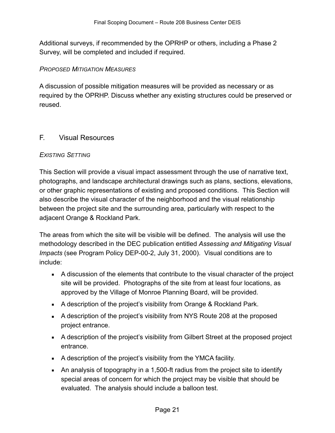Additional surveys, if recommended by the OPRHP or others, including a Phase 2 Survey, will be completed and included if required.

# *PROPOSED MITIGATION MEASURES*

A discussion of possible mitigation measures will be provided as necessary or as required by the OPRHP. Discuss whether any existing structures could be preserved or reused.

# F. Visual Resources

# *EXISTING SETTING*

This Section will provide a visual impact assessment through the use of narrative text, photographs, and landscape architectural drawings such as plans, sections, elevations, or other graphic representations of existing and proposed conditions. This Section will also describe the visual character of the neighborhood and the visual relationship between the project site and the surrounding area, particularly with respect to the adjacent Orange & Rockland Park.

The areas from which the site will be visible will be defined. The analysis will use the methodology described in the DEC publication entitled *Assessing and Mitigating Visual Impacts* (see Program Policy DEP-00-2, July 31, 2000). Visual conditions are to include:

- **EXECUTE:** A discussion of the elements that contribute to the visual character of the project site will be provided. Photographs of the site from at least four locations, as approved by the Village of Monroe Planning Board, will be provided.
- A description of the project's visibility from Orange & Rockland Park.
- A description of the project's visibility from NYS Route 208 at the proposed project entrance.
- A description of the project's visibility from Gilbert Street at the proposed project entrance.
- A description of the project's visibility from the YMCA facility.
- An analysis of topography in a 1,500-ft radius from the project site to identify special areas of concern for which the project may be visible that should be evaluated. The analysis should include a balloon test.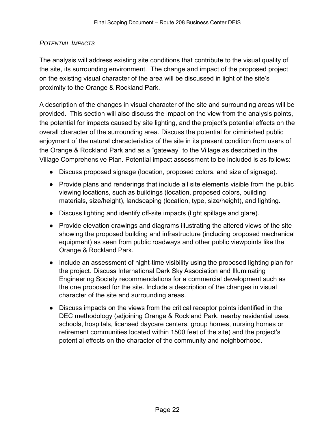# *POTENTIAL IMPACTS*

The analysis will address existing site conditions that contribute to the visual quality of the site, its surrounding environment. The change and impact of the proposed project on the existing visual character of the area will be discussed in light of the site's proximity to the Orange & Rockland Park.

A description of the changes in visual character of the site and surrounding areas will be provided. This section will also discuss the impact on the view from the analysis points, the potential for impacts caused by site lighting, and the project's potential effects on the overall character of the surrounding area. Discuss the potential for diminished public enjoyment of the natural characteristics of the site in its present condition from users of the Orange & Rockland Park and as a "gateway" to the Village as described in the Village Comprehensive Plan. Potential impact assessment to be included is as follows:

- Discuss proposed signage (location, proposed colors, and size of signage).
- Provide plans and renderings that include all site elements visible from the public viewing locations, such as buildings (location, proposed colors, building materials, size/height), landscaping (location, type, size/height), and lighting.
- Discuss lighting and identify off-site impacts (light spillage and glare).
- Provide elevation drawings and diagrams illustrating the altered views of the site showing the proposed building and infrastructure (including proposed mechanical equipment) as seen from public roadways and other public viewpoints like the Orange & Rockland Park.
- Include an assessment of night-time visibility using the proposed lighting plan for the project. Discuss International Dark Sky Association and Illuminating Engineering Society recommendations for a commercial development such as the one proposed for the site. Include a description of the changes in visual character of the site and surrounding areas.
- Discuss impacts on the views from the critical receptor points identified in the DEC methodology (adjoining Orange & Rockland Park, nearby residential uses, schools, hospitals, licensed daycare centers, group homes, nursing homes or retirement communities located within 1500 feet of the site) and the project's potential effects on the character of the community and neighborhood.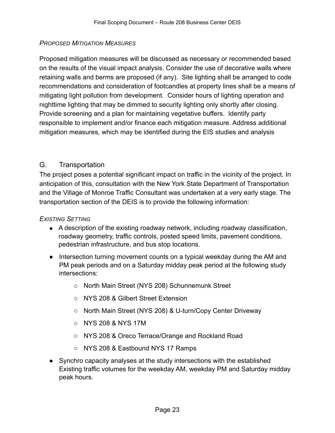# *PROPOSED MITIGATION MEASURES*

Proposed mitigation measures will be discussed as necessary or recommended based on the results of the visual impact analysis. Consider the use of decorative walls where retaining walls and berms are proposed (if any). Site lighting shall be arranged to code recommendations and consideration of footcandles at property lines shall be a means of mitigating light pollution from development. Consider hours of lighting operation and nighttime lighting that may be dimmed to security lighting only shortly after closing. Provide screening and a plan for maintaining vegetative buffers. Identify party responsible to implement and/or finance each mitigation measure. Address additional mitigation measures, which may be identified during the EIS studies and analysis

# G. Transportation

The project poses a potential significant impact on traffic in the vicinity of the project. In anticipation of this, consultation with the New York State Department of Transportation and the Village of Monroe Traffic Consultant was undertaken at a very early stage. The transportation section of the DEIS is to provide the following information:

# *EXISTING SETTING*

- A description of the existing roadway network, including roadway classification, roadway geometry, traffic controls, posted speed limits, pavement conditions, pedestrian infrastructure, and bus stop locations.
- Intersection turning movement counts on a typical weekday during the AM and PM peak periods and on a Saturday midday peak period at the following study intersections:
	- o North Main Street (NYS 208) Schunnemunk Street
	- o NYS 208 & Gilbert Street Extension
	- o North Main Street (NYS 208) & U-turn/Copy Center Driveway
	- o NYS 208 & NYS 17M
	- o NYS 208 & Oreco Terrace/Orange and Rockland Road
	- o NYS 208 & Eastbound NYS 17 Ramps
- Synchro capacity analyses at the study intersections with the established Existing traffic volumes for the weekday AM, weekday PM and Saturday midday peak hours.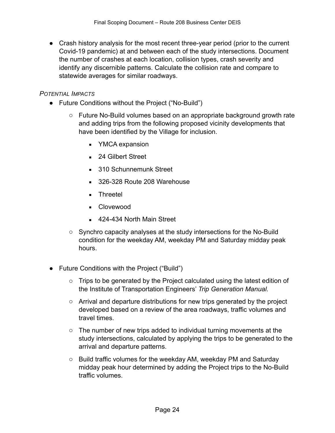● Crash history analysis for the most recent three-year period (prior to the current Covid-19 pandemic) at and between each of the study intersections. Document the number of crashes at each location, collision types, crash severity and identify any discernible patterns. Calculate the collision rate and compare to statewide averages for similar roadways.

# *POTENTIAL IMPACTS*

- Future Conditions without the Project ("No-Build")
	- o Future No-Build volumes based on an appropriate background growth rate and adding trips from the following proposed vicinity developments that have been identified by the Village for inclusion.
		- **E** YMCA expansion
		- 24 Gilbert Street
		- 310 Schunnemunk Street
		- 326-328 Route 208 Warehouse
		- Threetel
		- Clovewood
		- 424-434 North Main Street
	- $\circ$  Synchro capacity analyses at the study intersections for the No-Build condition for the weekday AM, weekday PM and Saturday midday peak hours.
- Future Conditions with the Project ("Build")
	- $\circ$  Trips to be generated by the Project calculated using the latest edition of the Institute of Transportation Engineers' *Trip Generation Manual.*
	- $\circ$  Arrival and departure distributions for new trips generated by the project developed based on a review of the area roadways, traffic volumes and travel times.
	- $\circ$  The number of new trips added to individual turning movements at the study intersections, calculated by applying the trips to be generated to the arrival and departure patterns.
	- $\circ$  Build traffic volumes for the weekday AM, weekday PM and Saturday midday peak hour determined by adding the Project trips to the No-Build traffic volumes.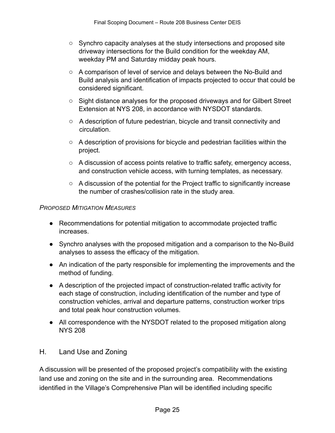- $\circ$  Synchro capacity analyses at the study intersections and proposed site driveway intersections for the Build condition for the weekday AM, weekday PM and Saturday midday peak hours.
- o A comparison of level of service and delays between the No-Build and Build analysis and identification of impacts projected to occur that could be considered significant.
- o Sight distance analyses for the proposed driveways and for Gilbert Street Extension at NYS 208, in accordance with NYSDOT standards.
- o A description of future pedestrian, bicycle and transit connectivity and circulation.
- o A description of provisions for bicycle and pedestrian facilities within the project.
- o A discussion of access points relative to traffic safety, emergency access, and construction vehicle access, with turning templates, as necessary.
- o A discussion of the potential for the Project traffic to significantly increase the number of crashes/collision rate in the study area.

# *PROPOSED MITIGATION MEASURES*

- Recommendations for potential mitigation to accommodate projected traffic increases.
- Synchro analyses with the proposed mitigation and a comparison to the No-Build analyses to assess the efficacy of the mitigation.
- An indication of the party responsible for implementing the improvements and the method of funding.
- A description of the projected impact of construction-related traffic activity for each stage of construction, including identification of the number and type of construction vehicles, arrival and departure patterns, construction worker trips and total peak hour construction volumes.
- All correspondence with the NYSDOT related to the proposed mitigation along NYS 208

# H. Land Use and Zoning

A discussion will be presented of the proposed project's compatibility with the existing land use and zoning on the site and in the surrounding area. Recommendations identified in the Village's Comprehensive Plan will be identified including specific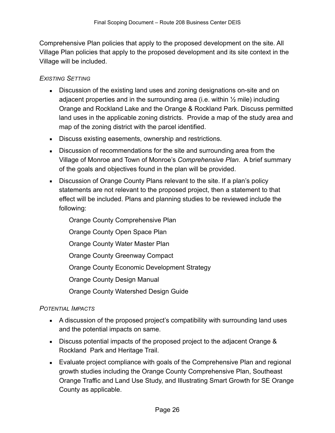Comprehensive Plan policies that apply to the proposed development on the site. All Village Plan policies that apply to the proposed development and its site context in the Village will be included.

# *EXISTING SETTING*

- **EXEDENT** Discussion of the existing land uses and zoning designations on-site and on adjacent properties and in the surrounding area (i.e. within  $\frac{1}{2}$  mile) including Orange and Rockland Lake and the Orange & Rockland Park. Discuss permitted land uses in the applicable zoning districts. Provide a map of the study area and map of the zoning district with the parcel identified.
- **EXECUSE** Discuss existing easements, ownership and restrictions.
- **EXECT** Discussion of recommendations for the site and surrounding area from the Village of Monroe and Town of Monroe's *Comprehensive Plan*. A brief summary of the goals and objectives found in the plan will be provided.
- **E** Discussion of Orange County Plans relevant to the site. If a plan's policy statements are not relevant to the proposed project, then a statement to that effect will be included. Plans and planning studies to be reviewed include the following:

Orange County Comprehensive Plan Orange County Open Space Plan Orange County Water Master Plan

Orange County Greenway Compact

Orange County Economic Development Strategy

Orange County Design Manual

Orange County Watershed Design Guide

# *POTENTIAL IMPACTS*

- A discussion of the proposed project's compatibility with surrounding land uses and the potential impacts on same.
- Discuss potential impacts of the proposed project to the adjacent Orange & Rockland Park and Heritage Trail.
- Evaluate project compliance with goals of the Comprehensive Plan and regional growth studies including the Orange County Comprehensive Plan, Southeast Orange Traffic and Land Use Study, and Illustrating Smart Growth for SE Orange County as applicable.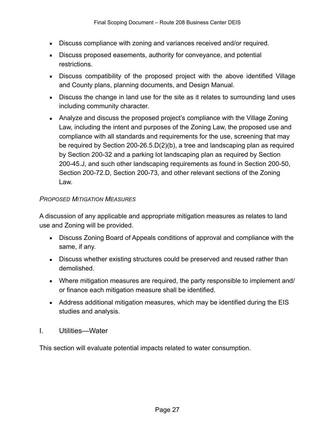- Discuss compliance with zoning and variances received and/or required.
- **EXEDENTER** Discuss proposed easements, authority for conveyance, and potential restrictions.
- Discuss compatibility of the proposed project with the above identified Village and County plans, planning documents, and Design Manual.
- Discuss the change in land use for the site as it relates to surrounding land uses including community character.
- Analyze and discuss the proposed project's compliance with the Village Zoning Law, including the intent and purposes of the Zoning Law, the proposed use and compliance with all standards and requirements for the use, screening that may be required by Section 200-26.5.D(2)(b), a tree and landscaping plan as required by Section 200-32 and a parking lot landscaping plan as required by Section 200-45.J, and such other landscaping requirements as found in Section 200-50, Section 200-72.D, Section 200-73, and other relevant sections of the Zoning Law.

# *PROPOSED MITIGATION MEASURES*

A discussion of any applicable and appropriate mitigation measures as relates to land use and Zoning will be provided.

- Discuss Zoning Board of Appeals conditions of approval and compliance with the same, if any.
- **EXEDE STRUCT EXERVIER IS 2008** FIRST DISCUSS Whether than **FIRS** Discussed rather than demolished.
- Where mitigation measures are required, the party responsible to implement and/ or finance each mitigation measure shall be identified.
- Address additional mitigation measures, which may be identified during the EIS studies and analysis.
- I. Utilities—Water

This section will evaluate potential impacts related to water consumption.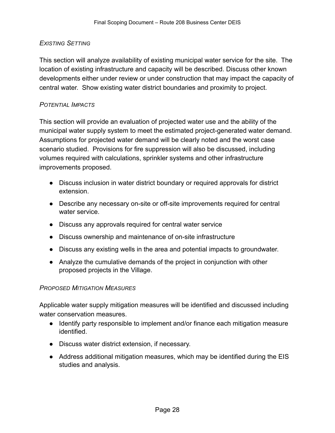#### *EXISTING SETTING*

This section will analyze availability of existing municipal water service for the site. The location of existing infrastructure and capacity will be described. Discuss other known developments either under review or under construction that may impact the capacity of central water. Show existing water district boundaries and proximity to project.

#### *POTENTIAL IMPACTS*

This section will provide an evaluation of projected water use and the ability of the municipal water supply system to meet the estimated project-generated water demand. Assumptions for projected water demand will be clearly noted and the worst case scenario studied. Provisions for fire suppression will also be discussed, including volumes required with calculations, sprinkler systems and other infrastructure improvements proposed.

- Discuss inclusion in water district boundary or required approvals for district extension.
- Describe any necessary on-site or off-site improvements required for central water service.
- Discuss any approvals required for central water service
- Discuss ownership and maintenance of on-site infrastructure
- Discuss any existing wells in the area and potential impacts to groundwater.
- Analyze the cumulative demands of the project in conjunction with other proposed projects in the Village.

#### *PROPOSED MITIGATION MEASURES*

Applicable water supply mitigation measures will be identified and discussed including water conservation measures.

- Identify party responsible to implement and/or finance each mitigation measure identified.
- Discuss water district extension, if necessary.
- Address additional mitigation measures, which may be identified during the EIS studies and analysis.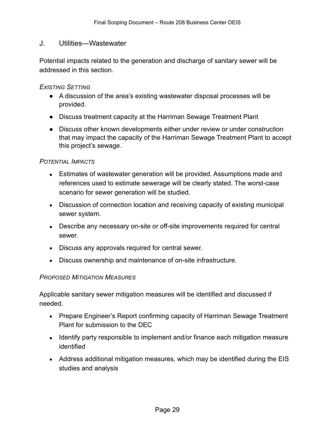#### J. Utilities—Wastewater

Potential impacts related to the generation and discharge of sanitary sewer will be addressed in this section.

#### *EXISTING SETTING*

- A discussion of the area's existing wastewater disposal processes will be provided.
- Discuss treatment capacity at the Harriman Sewage Treatment Plant
- Discuss other known developments either under review or under construction that may impact the capacity of the Harriman Sewage Treatment Plant to accept this project's sewage.

#### *POTENTIAL IMPACTS*

- **Estimates of wastewater generation will be provided. Assumptions made and** references used to estimate sewerage will be clearly stated. The worst-case scenario for sewer generation will be studied.
- Discussion of connection location and receiving capacity of existing municipal sewer system.
- **EXEDENTIFY DESCRIPT A** Describe any necessary on-site or off-site improvements required for central sewer.
- **EXECUSE 8 IN 20 IN 2018 12 SERVIE A** Discuss any approvals required for central sewer.
- **EXECUSS** OWNER Discuss ownership and maintenance of on-site infrastructure.

#### *PROPOSED MITIGATION MEASURES*

Applicable sanitary sewer mitigation measures will be identified and discussed if needed.

- **EXEDER** Prepare Engineer's Report confirming capacity of Harriman Sewage Treatment Plant for submission to the DEC
- **■** Identify party responsible to implement and/or finance each mitigation measure identified
- Address additional mitigation measures, which may be identified during the EIS studies and analysis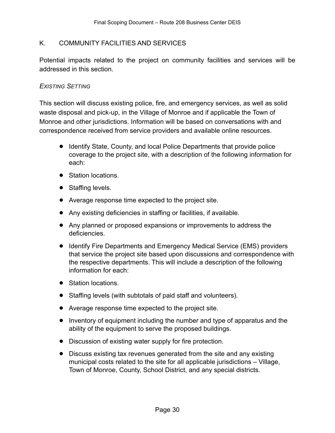#### K. COMMUNITY FACILITIES AND SERVICES

Potential impacts related to the project on community facilities and services will be addressed in this section.

#### *EXISTING SETTING*

This section will discuss existing police, fire, and emergency services, as well as solid waste disposal and pick-up, in the Village of Monroe and if applicable the Town of Monroe and other jurisdictions. Information will be based on conversations with and correspondence received from service providers and available online resources.

- Identify State, County, and local Police Departments that provide police coverage to the project site, with a description of the following information for each:
- Station locations.
- Staffing levels.
- Average response time expected to the project site.
- Any existing deficiencies in staffing or facilities, if available.
- Any planned or proposed expansions or improvements to address the deficiencies.
- Identify Fire Departments and Emergency Medical Service (EMS) providers that service the project site based upon discussions and correspondence with the respective departments. This will include a description of the following information for each:
- Station locations.
- Staffing levels (with subtotals of paid staff and volunteers).
- Average response time expected to the project site.
- Inventory of equipment including the number and type of apparatus and the ability of the equipment to serve the proposed buildings.
- Discussion of existing water supply for fire protection.
- Discuss existing tax revenues generated from the site and any existing municipal costs related to the site for all applicable jurisdictions – Village, Town of Monroe, County, School District, and any special districts.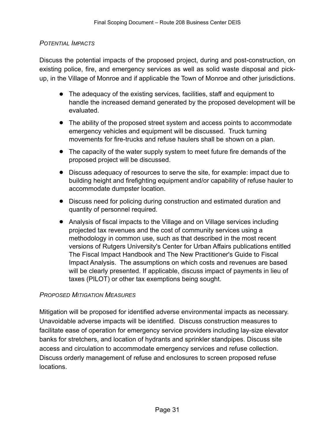#### *POTENTIAL IMPACTS*

Discuss the potential impacts of the proposed project, during and post-construction, on existing police, fire, and emergency services as well as solid waste disposal and pickup, in the Village of Monroe and if applicable the Town of Monroe and other jurisdictions.

- The adequacy of the existing services, facilities, staff and equipment to handle the increased demand generated by the proposed development will be evaluated.
- The ability of the proposed street system and access points to accommodate emergency vehicles and equipment will be discussed. Truck turning movements for fire-trucks and refuse haulers shall be shown on a plan.
- The capacity of the water supply system to meet future fire demands of the proposed project will be discussed.
- Discuss adequacy of resources to serve the site, for example: impact due to building height and firefighting equipment and/or capability of refuse hauler to accommodate dumpster location.
- Discuss need for policing during construction and estimated duration and quantity of personnel required.
- Analysis of fiscal impacts to the Village and on Village services including projected tax revenues and the cost of community services using a methodology in common use, such as that described in the most recent versions of Rutgers University's Center for Urban Affairs publications entitled The Fiscal Impact Handbook and The New Practitioner's Guide to Fiscal Impact Analysis. The assumptions on which costs and revenues are based will be clearly presented. If applicable, discuss impact of payments in lieu of taxes (PILOT) or other tax exemptions being sought.

# *PROPOSED MITIGATION MEASURES*

Mitigation will be proposed for identified adverse environmental impacts as necessary. Unavoidable adverse impacts will be identified. Discuss construction measures to facilitate ease of operation for emergency service providers including lay-size elevator banks for stretchers, and location of hydrants and sprinkler standpipes. Discuss site access and circulation to accommodate emergency services and refuse collection. Discuss orderly management of refuse and enclosures to screen proposed refuse locations.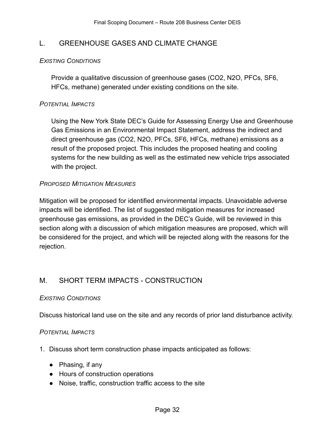# L. GREENHOUSE GASES AND CLIMATE CHANGE

#### *EXISTING CONDITIONS*

Provide a qualitative discussion of greenhouse gases (CO2, N2O, PFCs, SF6, HFCs, methane) generated under existing conditions on the site.

#### *POTENTIAL IMPACTS*

Using the New York State DEC's Guide for Assessing Energy Use and Greenhouse Gas Emissions in an Environmental Impact Statement, address the indirect and direct greenhouse gas (CO2, N2O, PFCs, SF6, HFCs, methane) emissions as a result of the proposed project. This includes the proposed heating and cooling systems for the new building as well as the estimated new vehicle trips associated with the project.

#### *PROPOSED MITIGATION MEASURES*

Mitigation will be proposed for identified environmental impacts. Unavoidable adverse impacts will be identified. The list of suggested mitigation measures for increased greenhouse gas emissions, as provided in the DEC's Guide, will be reviewed in this section along with a discussion of which mitigation measures are proposed, which will be considered for the project, and which will be rejected along with the reasons for the rejection.

# M. SHORT TERM IMPACTS - CONSTRUCTION

#### *EXISTING CONDITIONS*

Discuss historical land use on the site and any records of prior land disturbance activity.

#### *POTENTIAL IMPACTS*

- 1. Discuss short term construction phase impacts anticipated as follows:
	- Phasing, if any
	- Hours of construction operations
	- Noise, traffic, construction traffic access to the site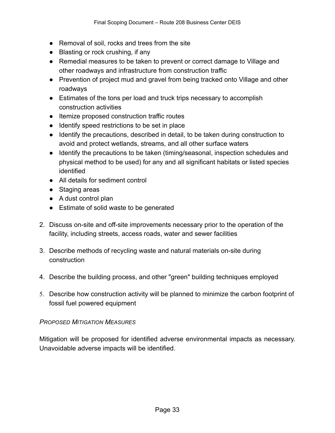- Removal of soil, rocks and trees from the site
- Blasting or rock crushing, if any
- Remedial measures to be taken to prevent or correct damage to Village and other roadways and infrastructure from construction traffic
- Prevention of project mud and gravel from being tracked onto Village and other roadways
- Estimates of the tons per load and truck trips necessary to accomplish construction activities
- Itemize proposed construction traffic routes
- Identify speed restrictions to be set in place
- Identify the precautions, described in detail, to be taken during construction to avoid and protect wetlands, streams, and all other surface waters
- Identify the precautions to be taken (timing/seasonal, inspection schedules and physical method to be used) for any and all significant habitats or listed species identified
- All details for sediment control
- Staging areas
- A dust control plan
- Estimate of solid waste to be generated
- 2. Discuss on-site and off-site improvements necessary prior to the operation of the facility, including streets, access roads, water and sewer facilities
- 3. Describe methods of recycling waste and natural materials on-site during construction
- 4. Describe the building process, and other "green" building techniques employed
- 5. Describe how construction activity will be planned to minimize the carbon footprint of fossil fuel powered equipment

# *PROPOSED MITIGATION MEASURES*

Mitigation will be proposed for identified adverse environmental impacts as necessary. Unavoidable adverse impacts will be identified.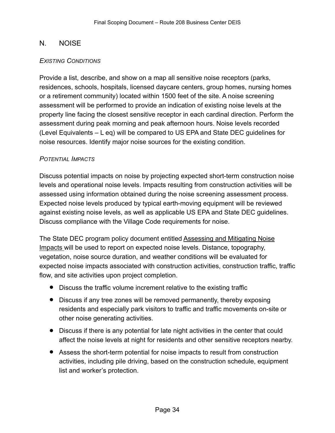# N. NOISE

#### *EXISTING CONDITIONS*

Provide a list, describe, and show on a map all sensitive noise receptors (parks, residences, schools, hospitals, licensed daycare centers, group homes, nursing homes or a retirement community) located within 1500 feet of the site. A noise screening assessment will be performed to provide an indication of existing noise levels at the property line facing the closest sensitive receptor in each cardinal direction. Perform the assessment during peak morning and peak afternoon hours. Noise levels recorded (Level Equivalents – L eq) will be compared to US EPA and State DEC guidelines for noise resources. Identify major noise sources for the existing condition.

#### *POTENTIAL IMPACTS*

Discuss potential impacts on noise by projecting expected short-term construction noise levels and operational noise levels. Impacts resulting from construction activities will be assessed using information obtained during the noise screening assessment process. Expected noise levels produced by typical earth-moving equipment will be reviewed against existing noise levels, as well as applicable US EPA and State DEC guidelines. Discuss compliance with the Village Code requirements for noise.

The State DEC program policy document entitled Assessing and Mitigating Noise Impacts will be used to report on expected noise levels. Distance, topography, vegetation, noise source duration, and weather conditions will be evaluated for expected noise impacts associated with construction activities, construction traffic, traffic flow, and site activities upon project completion.

- Discuss the traffic volume increment relative to the existing traffic
- Discuss if any tree zones will be removed permanently, thereby exposing residents and especially park visitors to traffic and traffic movements on-site or other noise generating activities.
- Discuss if there is any potential for late night activities in the center that could affect the noise levels at night for residents and other sensitive receptors nearby.
- Assess the short-term potential for noise impacts to result from construction activities, including pile driving, based on the construction schedule, equipment list and worker's protection.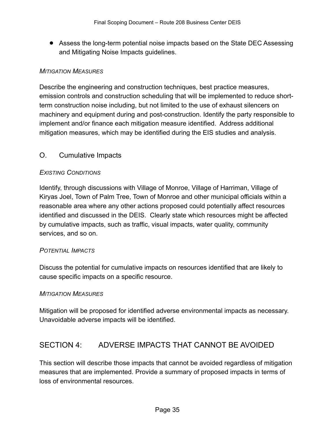• Assess the long-term potential noise impacts based on the State DEC Assessing and Mitigating Noise Impacts guidelines.

#### *MITIGATION MEASURES*

Describe the engineering and construction techniques, best practice measures, emission controls and construction scheduling that will be implemented to reduce shortterm construction noise including, but not limited to the use of exhaust silencers on machinery and equipment during and post-construction. Identify the party responsible to implement and/or finance each mitigation measure identified. Address additional mitigation measures, which may be identified during the EIS studies and analysis.

# O. Cumulative Impacts

#### *EXISTING CONDITIONS*

Identify, through discussions with Village of Monroe, Village of Harriman, Village of Kiryas Joel, Town of Palm Tree, Town of Monroe and other municipal officials within a reasonable area where any other actions proposed could potentially affect resources identified and discussed in the DEIS. Clearly state which resources might be affected by cumulative impacts, such as traffic, visual impacts, water quality, community services, and so on.

# *POTENTIAL IMPACTS*

Discuss the potential for cumulative impacts on resources identified that are likely to cause specific impacts on a specific resource.

#### *MITIGATION MEASURES*

Mitigation will be proposed for identified adverse environmental impacts as necessary. Unavoidable adverse impacts will be identified.

# SECTION 4: ADVERSE IMPACTS THAT CANNOT BE AVOIDED

This section will describe those impacts that cannot be avoided regardless of mitigation measures that are implemented. Provide a summary of proposed impacts in terms of loss of environmental resources.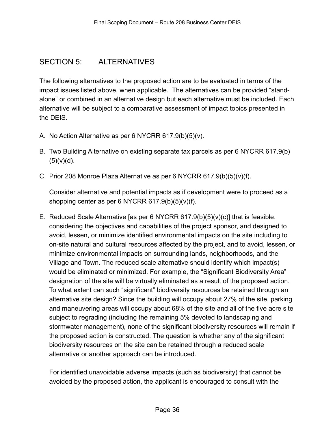# SECTION 5: ALTERNATIVES

The following alternatives to the proposed action are to be evaluated in terms of the impact issues listed above, when applicable. The alternatives can be provided "standalone" or combined in an alternative design but each alternative must be included. Each alternative will be subject to a comparative assessment of impact topics presented in the DEIS.

- A. No Action Alternative as per 6 NYCRR 617.9(b)(5)(v).
- B. Two Building Alternative on existing separate tax parcels as per 6 NYCRR 617.9(b)  $(5)(v)(d)$ .
- C. Prior 208 Monroe Plaza Alternative as per 6 NYCRR 617.9(b)(5)(v)(f).

Consider alternative and potential impacts as if development were to proceed as a shopping center as per 6 NYCRR  $617.9(b)(5)(v)(f)$ .

E. Reduced Scale Alternative [as per 6 NYCRR 617.9(b)(5)(v)(c)] that is feasible, considering the objectives and capabilities of the project sponsor, and designed to avoid, lessen, or minimize identified environmental impacts on the site including to on-site natural and cultural resources affected by the project, and to avoid, lessen, or minimize environmental impacts on surrounding lands, neighborhoods, and the Village and Town. The reduced scale alternative should identify which impact(s) would be eliminated or minimized. For example, the "Significant Biodiversity Area" designation of the site will be virtually eliminated as a result of the proposed action. To what extent can such "significant" biodiversity resources be retained through an alternative site design? Since the building will occupy about 27% of the site, parking and maneuvering areas will occupy about 68% of the site and all of the five acre site subject to regrading (including the remaining 5% devoted to landscaping and stormwater management), none of the significant biodiversity resources will remain if the proposed action is constructed. The question is whether any of the significant biodiversity resources on the site can be retained through a reduced scale alternative or another approach can be introduced.

For identified unavoidable adverse impacts (such as biodiversity) that cannot be avoided by the proposed action, the applicant is encouraged to consult with the